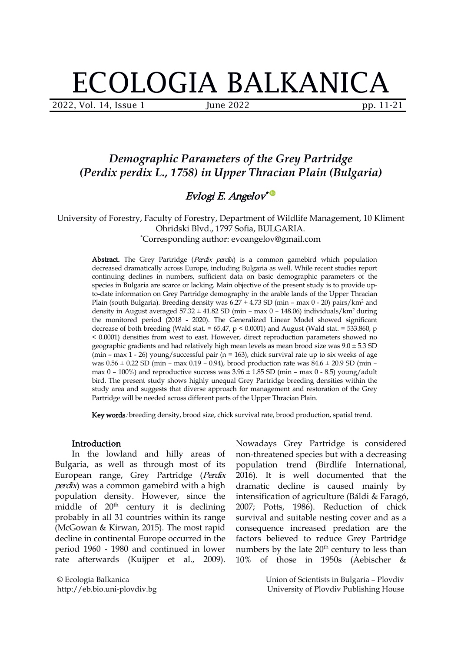# ECOLOGIA BALKANICA

2022, Vol. 14, Issue 1 June 2022 pp. 11-21

# *Demographic Parameters of the Grey Partridge (Perdix perdix L., 1758) in Upper Thracian Plain (Bulgaria)*

# Evlogi E. Angelov \*

University of Forestry, Faculty of Forestry, Department of Wildlife Management, 10 Kliment Ohridski Blvd., 1797 Sofia, BULGARIA. \*Corresponding author: evoangelov@gmail.com

Abstract. The Grey Partridge (Perdix perdix) is a common gamebird which population decreased dramatically across Europe, including Bulgaria as well. While recent studies report continuing declines in numbers, sufficient data on basic demographic parameters of the species in Bulgaria are scarce or lacking. Main objective of the present study is to provide upto-date information on Grey Partridge demography in the arable lands of the Upper Thracian Plain (south Bulgaria). Breeding density was  $6.27 \pm 4.73$  SD (min – max 0 - 20) pairs/km<sup>2</sup> and density in August averaged  $57.32 \pm 41.82$  SD (min – max 0 – 148.06) individuals/km<sup>2</sup> during the monitored period (2018 - 2020). The Generalized Linear Model showed significant decrease of both breeding (Wald stat. =  $65.47$ , p < 0.0001) and August (Wald stat. =  $533.860$ , p < 0.0001) densities from west to east. However, direct reproduction parameters showed no geographic gradients and had relatively high mean levels as mean brood size was  $9.0 \pm 5.3$  SD (min – max  $1 - 26$ ) young/successful pair (n = 163), chick survival rate up to six weeks of age was  $0.56 \pm 0.22$  SD (min – max 0.19 – 0.94), brood production rate was  $84.6 \pm 20.9$  SD (min – max  $0 - 100\%$ ) and reproductive success was  $3.96 \pm 1.85$  SD (min – max  $0 - 8.5$ ) young/adult bird. The present study shows highly unequal Grey Partridge breeding densities within the study area and suggests that diverse approach for management and restoration of the Grey Partridge will be needed across different parts of the Upper Thracian Plain.

Key words: breeding density, brood size, chick survival rate, brood production, spatial trend.

#### Introduction

In the lowland and hilly areas of Bulgaria, as well as through most of its European range, Grey Partridge (Perdix perdix) was a common gamebird with a high population density. However, since the middle of 20<sup>th</sup> century it is declining 2007; Potts, 1986). probably in all 31 countries within its range (McGowan & Kirwan, 2015). The most rapid decline in continental Europe occurred in the period 1960 - 1980 and continued in lower rate afterwards (Kuijper et al., 2009).

© Ecologia Balkanica http://eb.bio.uni-plovdiv.bg Nowadays Grey Partridge is considered non-threatened species but with a decreasing population trend (Birdlife International, 2016). It is well documented that the dramatic decline is caused mainly by intensification of agriculture (Báldi & Faragó, 2007; Potts, 1986). Reduction of chick survival and suitable nesting cover and as a consequence increased predation are the factors believed to reduce Grey Partridge numbers by the late  $20<sup>th</sup>$  century to less than 10% of those in 1950s (Aebischer &

> Union of Scientists in Bulgaria – Plovdiv University of Plovdiv Publishing House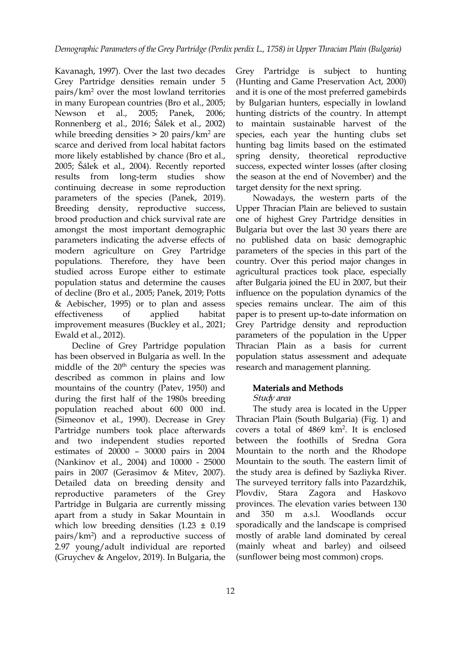Kavanagh, 1997). Over the last two decades Grey Partridge densities remain under 5 pairs/km<sup>2</sup> over the most lowland territories in many European countries (Bro et al., 2005; Newson et al., 2005; Panek, 2006; Ronnenberg et al., 2016;Šálek et al., 2002) while breeding densities  $> 20$  pairs/ $km<sup>2</sup>$  are scarce and derived from local habitat factors more likely established by chance (Bro et al., 2005; Šálek et al., 2004). Recently reported continuing decrease in some reproduction parameters of the species (Panek, 2019). Breeding density, reproductive success, brood production and chick survival rate are amongst the most important demographic parameters indicating the adverse effects of modern agriculture on Grey Partridge populations. Therefore, they have been studied across Europe either to estimate population status and determine the causes of decline (Bro et al., 2005; Panek, 2019; Potts & Aebischer, 1995) or to plan and assess improvement measures (Buckley et al., 2021; Ewald et al., 2012).

Decline of Grey Partridge population has been observed in Bulgaria as well. In the middle of the 20<sup>th</sup> century the species was research and ma described as common in plains and low mountains of the country (Patev, 1950) and during the first half of the 1980s breeding population reached about 600 000 ind. (Simeonov et al., 1990). Decrease in Grey Partridge numbers took place afterwards and two independent studies reported estimates of 20000 – 30000 pairs in 2004 (Nankinov et al., 2004) and 10000 - 25000 pairs in 2007 (Gerasimov & Mitev, 2007). Detailed data on breeding density and reproductive parameters of the Grey Plovdiv, Stara Zagora and Haskovo Partridge in Bulgaria are currently missing apart from a study in Sakar Mountain in which low breeding densities  $(1.23 \pm 0.19)$ pairs/km<sup>2</sup>) and a reproductive success of 2.97 young/adult individual are reported (Gruychev & Angelov, 2019). In Bulgaria, the

results from long-term studies show the season at the end of November) and the Grey Partridge is subject to hunting (Hunting and Game Preservation Act, 2000) and it is one of the most preferred gamebirds by Bulgarian hunters, especially in lowland hunting districts of the country. In attempt to maintain sustainable harvest of the species, each year the hunting clubs set hunting bag limits based on the estimated spring density, theoretical reproductive success, expected winter losses (after closing target density for the next spring.

effectiveness of applied habitat paper is to present up-to-date information on No[wa](https://orcid.org/0000-0002-8522-3769)days, the western parts of the Upper Thracian Plain are believed to sustain one of highest Grey Partridge densities in Bulgaria but over the last 30 years there are no published data on basic demographic parameters of the species in this part of the country. Over this period major changes in agricultural practices took place, especially after Bulgaria joined the EU in 2007, but their influence on the population dynamics of the species remains unclear. The aim of this Grey Partridge density and reproduction parameters of the population in the Upper Thracian Plain as a basis for current population status assessment and adequate research and management planning.

## Materials and Methods

## Study area

The study area is located in the Upper Thracian Plain (South Bulgaria) (Fig. 1) and covers a total of 4869 km<sup>2</sup> . It is enclosed between the foothills of Sredna Gora Mountain to the north and the Rhodope Mountain to the south. The eastern limit of the study area is defined by Sazliyka River. The surveyed territory falls into Pazardzhik, provinces. The elevation varies between 130 a.s.l. Woodlands occur sporadically and the landscape is comprised mostly of arable land dominated by cereal (mainly wheat and barley) and oilseed (sunflower being most common) crops.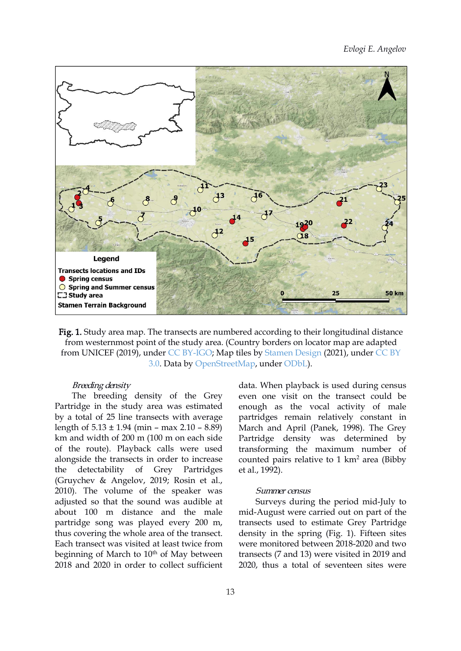

Fig. 1. Study area map. The transects are numbered according to their longitudinal distance from westernmost point of the study area. (Country borders on locator map are adapted from UNICEF (2019), under CC [BY-IGO;](https://creativecommons.org/licenses/by/3.0/igo/legalcode) Map tiles by [Stamen](http://stamen.com) Design (2021), under [CC](http://creativecommons.org/licenses/by/3.0) BY 3.0. Data by [OpenStreetMap,](http://openstreetmap.org) under [ODbL](http://www.openstreetmap.org/copyright)).

#### Breeding density

The breeding density of the Grey Partridge in the study area was estimated by a total of 25 line transects with average length of  $5.13 \pm 1.94$  (min – max  $2.10 - 8.89$ ) km and width of 200 m (100 m on each side of the route). Playback calls were used alongside the transects in order to increase the detectability of Grey Partridges (Gruychev & Angelov, 2019; Rosin et al., 2010). The volume of the speaker was adjusted so that the sound was audible at about 100 m distance and the male partridge song was played every 200 m, thus covering the whole area of the transect. Each transect was visited at least twice from beginning of March to 10<sup>th</sup> of May between 2018 and 2020 in order to collect sufficient

data. When playback is used during census even one visit on the transect could be enough as the vocal activity of male partridges remain relatively constant in March and April (Panek, 1998). The Grey Partridge density was determined by transforming the maximum number of counted pairs relative to  $1 \text{ km}^2$  area (Bibby et al., 1992).

#### Summer census

<sup>th</sup> of May between transects (7 and 13) were visited in 2019 and Surveys during the period mid-July to mid-August were carried out on part of the transects used to estimate Grey Partridge density in the spring (Fig. 1). Fifteen sites were monitored between 2018-2020 and two 2020, thus a total of seventeen sites were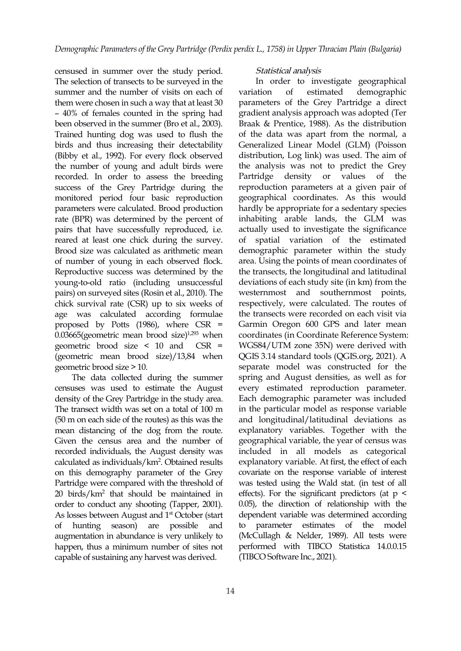censused in summer over the study period. The selection of transects to be surveyed in the summer and the number of visits on each of variation of estimated them were chosen in such a way that at least 30 – 40% of females counted in the spring had been observed in the summer (Bro et al.,2003). Trained hunting dog was used to flush the birds and thus increasing their detectability (Bibby et al., 1992). For every flock observed the number of young and adult birds were recorded. In order to assess the breeding success of the Grey Partridge during the monitored period four basic reproduction parameters were calculated. Brood production rate (BPR) was determined by the percent of pairs that have successfully reproduced, i.e. reared at least one chick during the survey. Brood size was calculated as arithmetic mean of number of young in each observed flock. Reproductive success was determined by the young-to-old ratio (including unsuccessful pairs) on surveyed sites (Rosin et al.,2010). The chick survival rate (CSR) up to six weeks of age was calculated according formulae proposed by Potts (1986), where CSR =  $0.03665$ (geometric mean brood size)<sup>1,293</sup> when geometric brood size < 10 and CSR = (geometric mean brood size)/13,84 when geometric brood size > 10.

The data collected during the summer censuses was used to estimate the August density of the Grey Partridge in the study area. The transect width was set on a total of 100 m (50 m on each side of the routes) as this was the mean distancing of the dog from the route. Given the census area and the number of recorded individuals, the August density was calculated as individuals/km<sup>2</sup>. Obtained results explanatory var on this demography parameter of the Grey Partridge were compared with the threshold of 20 birds/km<sup>2</sup> that should be maintained in order to conduct any shooting (Tapper, 2001). As losses between August and 1<sup>st</sup> October (start dependent of hunting season) are possible and to augmentation in abundance is very unlikely to happen, thus a minimum number of sites not capable of sustaining any harvest was derived.

## 14

#### Statistical analysis

1,293 when coordinates (in Coordinate Reference System: In order to investigate geographical demographic parameters of the Grey Partridge a direct gradient analysis approach was adopted (Ter Braak & Prentice, 1988). As the distribution of the data was apart from the normal, a Generalized Linear Model (GLM) (Poisson distribution, Log link) was used. The aim of the analysis was not to predict the Grey density or values of the reproduction parameters at a given pair of geograp[hi](https://orcid.org/0000-0002-8522-3769)cal coordinates. As this would hardly be appropriate for a sedentary species inhabiting arable lands, the GLM was actually used to investigate the significance of spatial variation of the estimated demographic parameter within the study area. Using the points of mean coordinates of the transects, the longitudinal and latitudinal deviations of each study site (in km) from the westernmost and southernmost points, respectively, were calculated. The routes of the transects were recorded on each visit via Garmin Oregon 600 GPS and later mean WGS84/UTM zone 35N) were derived with QGIS 3.14 standard tools (QGIS.org, 2021). A separate model was constructed for the spring and August densities, as well as for every estimated reproduction parameter. Each demographic parameter was included in the particular model as response variable and longitudinal/latitudinal deviations as explanatory variables. Together with the geographical variable, the year of census was included in all models as categorical explanatory variable. At first, the effect of each covariate on the response variable of interest was tested using the Wald stat. (in test of all effects). For the significant predictors (at  $p <$ 0.05), the direction of relationship with the dependent variable was determined according parameter estimates of the model (McCullagh & Nelder, 1989). All tests were performed with TIBCO Statistica 14.0.0.15 (TIBCO Software Inc., 2021).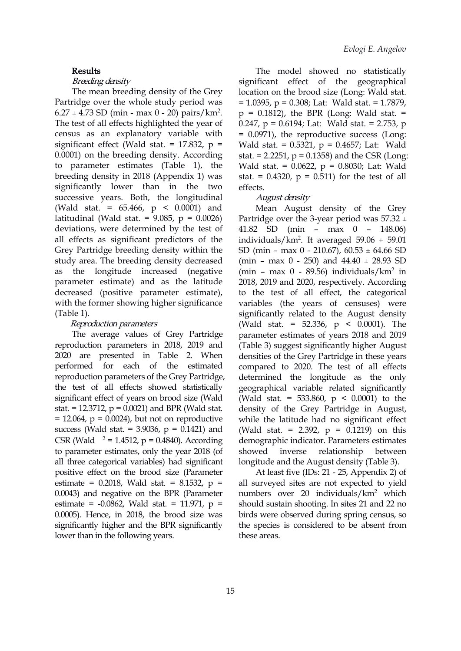#### Results

#### Breeding density

The mean breeding density of the Grey Partridge over the whole study period was  $6.27 \pm 4.73$  SD (min - max 0 - 20) pairs/km<sup>2</sup>. The test of all effects highlighted the year of census as an explanatory variable with significant effect (Wald stat. =  $17.832$ , p = 0.0001) on the breeding density. According to parameter estimates (Table 1), the breeding density in 2018 (Appendix 1) was significantly lower than in the two successive years. Both, the longitudinal (Wald stat. = 65.466, p < 0.0001) and latitudinal (Wald stat. =  $9.085$ ,  $p = 0.0026$ ) deviations, were determined by the test of all effects as significant predictors of the Grey Partridge breeding density within the study area. The breeding density decreased as the longitude increased (negative parameter estimate) and as the latitude decreased (positive parameter estimate), with the former showing higher significance (Table 1).

#### Reproduction parameters

The average values of Grey Partridge reproduction parameters in 2018, 2019 and 2020 are presented in Table 2. When performed for each of the estimated reproduction parameters of the Grey Partridge, the test of all effects showed statistically significant effect of years on brood size (Wald stat. = 12.3712,  $p = 0.0021$ ) and BPR (Wald stat. = 12.064,  $p = 0.0024$ ), but not on reproductive success (Wald stat. =  $3.9036$ ,  $p = 0.1421$ ) and CSR (Wald  $^2$  = 1.4512, p = 0.4840). According demographic indica to parameter estimates, only the year 2018 (of all three categorical variables) had significant positive effect on the brood size (Parameter estimate =  $0.2018$ , Wald stat. =  $8.1532$ , p = 0.0043) and negative on the BPR (Parameter estimate =  $-0.0862$ , Wald stat. = 11.971, p = 0.0005). Hence, in 2018, the brood size was significantly higher and the BPR significantly lower than in the following years.

.  $p = 0.1812$ , the BPR (Long: Wald stat.  $=$ The model showed no statistically significant effect of the geographical location on the brood size (Long: Wald stat. = 1.0395, p = 0.308; Lat: Wald stat. = 1.7879, 0.247,  $p = 0.6194$ ; Lat: Wald stat. = 2.753,  $p$ = 0.0971), the reproductive success (Long: Wald stat. = 0.5321, p = 0.4657; Lat: Wald stat. = 2.2251,  $p = 0.1358$ ) and the CSR (Long: Wald stat. = 0.0622, p = 0.8030; Lat: Wald stat. =  $0.4320$ ,  $p = 0.511$ ) for the test of all effects.

#### Au[gu](https://orcid.org/0000-0002-8522-3769)st density

Mean August density of the Grey Partridge over the 3-year period was  $57.32 \pm$ 41.82 SD (min – max 0 – 148.06) individuals/km<sup>2</sup> . It averaged 59.06 ± 59.01 SD (min – max 0 - 210.67),  $60.53 \pm 64.66$  SD (min – max 0 - 250) and  $44.40 \pm 28.93$  SD (min – max  $0 - 89.56$ ) individuals/ $km<sup>2</sup>$  in in 2018, 2019 and 2020, respectively. According to the test of all effect, the categorical variables (the years of censuses) were significantly related to the August density (Wald stat. = 52.336, p < 0.0001). The parameter estimates of years 2018 and 2019 (Table 3) suggest significantly higher August densities of the Grey Partridge in these years compared to 2020. The test of all effects determined the longitude as the only geographical variable related significantly (Wald stat. = 533.860,  $p \le 0.0001$ ) to the density of the Grey Partridge in August, while the latitude had no significant effect (Wald stat. = 2.392,  $p = 0.1219$ ) on this demographic indicator. Parameters estimates relationship between longitude and the August density (Table 3).

At least five (IDs: 21 - 25, Appendix 2) of all surveyed sites are not expected to yield numbers over 20 individuals/km<sup>2</sup> which should sustain shooting. In sites 21 and 22 no birds were observed during spring census, so the species is considered to be absent from these areas.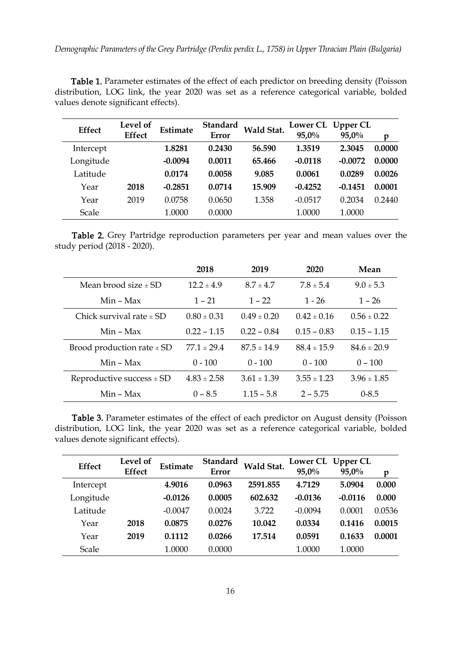Table 1. Parameter estimates of the effect of each predictor on breeding density (Poisson distribution, LOG link, the year 2020 was set as a reference categorical variable, bolded values denote significant effects).

| <b>Effect</b> | Level of<br><b>Effect</b> | Estimate  | <b>Standard</b><br><b>Error</b> | Wald Stat. | <b>Lower CL</b><br>$95,0\%$ | <b>Upper CL</b><br>$95,0\%$ | p      |
|---------------|---------------------------|-----------|---------------------------------|------------|-----------------------------|-----------------------------|--------|
| Intercept     |                           | 1.8281    | 0.2430                          | 56.590     | 1.3519                      | 2.3045                      | 0.0000 |
| Longitude     |                           | $-0.0094$ | 0.0011                          | 65.466     | $-0.0118$                   | $-0.0072$                   | 0.0000 |
| Latitude      |                           | 0.0174    | 0.0058                          | 9.085      | 0.0061                      | 0.0289                      | 0.0026 |
| Year          | 2018                      | $-0.2851$ | 0.0714                          | 15.909     | $-0.4252$                   | $-0.1451$                   | 0.0001 |
| Year          | 2019                      | 0.0758    | 0.0650                          | 1.358      | $-0.0517$                   | 0.2034                      | 0.2440 |
| Scale         |                           | 1.0000    | 0.0000                          |            | 1.0000                      | 1.0000                      |        |

Table 2. Grey Partridge reproduction parameters per year and mean values over the study period (2018 - 2020).

|                                | 2018            | 2019            | 2020            | Mean            |
|--------------------------------|-----------------|-----------------|-----------------|-----------------|
| Mean brood size $\pm$ SD       | $12.2 \pm 4.9$  | $8.7 \pm 4.7$   | $7.8 \pm 5.4$   | $9.0 \pm 5.3$   |
| $Min - Max$                    | $1 - 21$        | $1 - 22$        | $1 - 26$        | $1 - 26$        |
| Chick survival rate $\pm$ SD   | $0.80 \pm 0.31$ | $0.49 \pm 0.20$ | $0.42 \pm 0.16$ | $0.56 \pm 0.22$ |
| Min - Max                      | $0.22 - 1.15$   | $0.22 - 0.84$   | $0.15 - 0.83$   | $0.15 - 1.15$   |
| Brood production rate $\pm$ SD | $77.1 \pm 29.4$ | $87.5 \pm 14.9$ | $88.4 \pm 15.9$ | $84.6 \pm 20.9$ |
| $Min - Max$                    | $0 - 100$       | $0 - 100$       | $0 - 100$       | $0 - 100$       |
| Reproductive success $\pm$ SD  | $4.83 \pm 2.58$ | $3.61 \pm 1.39$ | $3.55 \pm 1.23$ | $3.96 \pm 1.85$ |
| $Min - Max$                    | $0 - 8.5$       | $1.15 - 5.8$    | $2 - 5.75$      | $0 - 8.5$       |

Table 3. Parameter estimates of the effect of each predictor on August density (Poisson distribution, LOG link, the year 2020 was set as a reference categorical variable, bolded values denote significant effects).

| <b>Effect</b> | Level of<br><b>Effect</b> | Estimate  | Standard<br><b>Error</b> | Wald Stat. | <b>Lower CL</b><br>$95,0\%$ | <b>Upper CL</b><br>$95,0\%$ | p      |
|---------------|---------------------------|-----------|--------------------------|------------|-----------------------------|-----------------------------|--------|
| Intercept     |                           | 4.9016    | 0.0963                   | 2591.855   | 4.7129                      | 5.0904                      | 0.000  |
| Longitude     |                           | $-0.0126$ | 0.0005                   | 602.632    | $-0.0136$                   | $-0.0116$                   | 0.000  |
| Latitude      |                           | $-0.0047$ | 0.0024                   | 3.722      | $-0.0094$                   | 0.0001                      | 0.0536 |
| Year          | 2018                      | 0.0875    | 0.0276                   | 10.042     | 0.0334                      | 0.1416                      | 0.0015 |
| Year          | 2019                      | 0.1112    | 0.0266                   | 17.514     | 0.0591                      | 0.1633                      | 0.0001 |
| Scale         |                           | 1.0000    | 0.0000                   |            | 1.0000                      | 1.0000                      |        |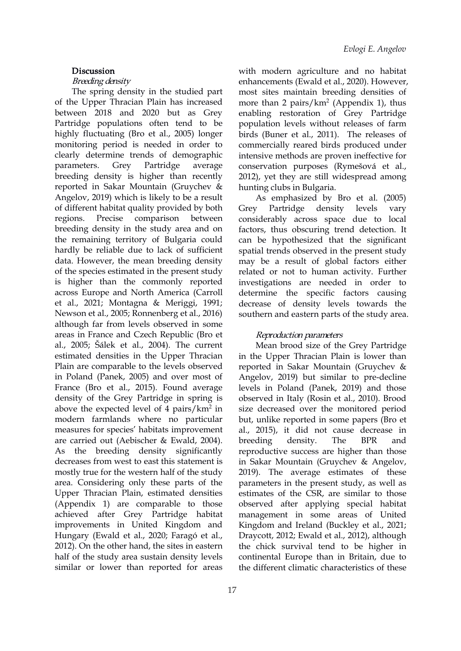#### **Discussion**

### Breeding density

The spring density in the studied part of the Upper Thracian Plain has increased between 2018 and 2020 but as Grey Partridge populations often tend to be highly fluctuating (Bro et al., 2005) longer monitoring period is needed in order to clearly determine trends of demographic breeding density is higher than recently reported in Sakar Mountain (Gruychev & Angelov, 2019) which is likely to be a result of different habitat quality provided by both breeding density in the study area and on the remaining territory of Bulgaria could hardly be reliable due to lack of sufficient data. However, the mean breeding density of the species estimated in the present study is higher than the commonly reported across Europe and North America (Carroll et al., 2021; Montagna & Meriggi, 1991; Newson et al., 2005; Ronnenberg et al., 2016) although far from levels observed in some areas in France and Czech Republic (Bro et al., 2005; Šálek et al., 2004). The current estimated densities in the Upper Thracian Plain are comparable to the levels observed in Poland (Panek, 2005) and over most of France (Bro et al., 2015). Found average density of the Grey Partridge in spring is above the expected level of 4 pairs/ $km<sup>2</sup>$  in modern farmlands where no particular measures for species' habitats improvement are carried out (Aebischer & Ewald, 2004). As the breeding density significantly decreases from west to east this statement is mostly true for the western half of the study area. Considering only these parts of the Upper Thracian Plain, estimated densities (Appendix 1) are comparable to those achieved after Grey Partridge habitat improvements in United Kingdom and Hungary (Ewald et al., 2020; Faragó et al., 2012). On the other hand, the sites in eastern half of the study area sustain density levels similar or lower than reported for areas

parameters. Grey Partridge average conservation purposes (Rymešová et al., with modern agriculture and no habitat enhancements (Ewald et al., 2020). However, most sites maintain breeding densities of more than 2 pairs/ $km^2$  (Appendix 1), thus enabling restoration of Grey Partridge population levels without releases of farm birds (Buner et al., 2011). The releases of commercially reared birds produced under intensive methods are proven ineffective for 2012), yet they are still widespread among hunting clubs in Bulgaria.

regions. Precise comparison between considerably across space due to local As [e](https://orcid.org/0000-0002-8522-3769)mphasized by Bro et al. (2005) Partridge density levels vary factors, thus obscuring trend detection. It can be hypothesized that the significant spatial trends observed in the present study may be a result of global factors either related or not to human activity. Further investigations are needed in order to determine the specific factors causing decrease of density levels towards the southern and eastern parts of the study area.

#### Reproduction parameters

in size decreased over the monitored period Mean brood size of the Grey Partridge in the Upper Thracian Plain is lower than reported in Sakar Mountain (Gruychev & Angelov, 2019) but similar to pre-decline levels in Poland (Panek, 2019) and those observed in Italy (Rosin et al., 2010). Brood but, unlike reported in some papers (Bro et al., 2015), it did not cause decrease in breeding density. The BPR and reproductive success are higher than those in Sakar Mountain (Gruychev & Angelov, 2019). The average estimates of these parameters in the present study, as well as estimates of the CSR, are similar to those observed after applying special habitat management in some areas of United Kingdom and Ireland (Buckley et al., 2021; Draycott, 2012; Ewald et al., 2012), although the chick survival tend to be higher in continental Europe than in Britain, due to the different climatic characteristics of these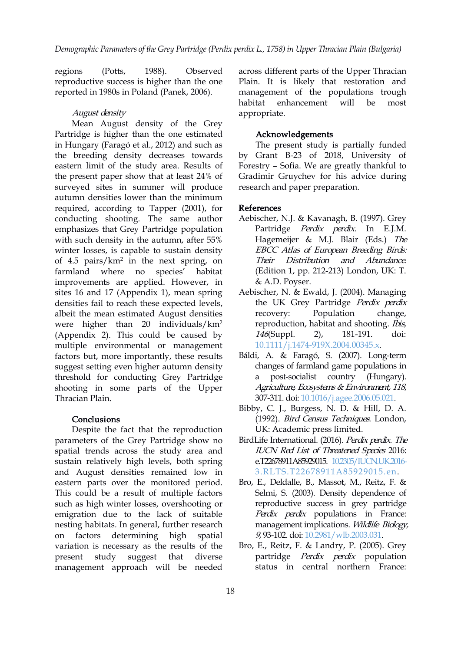reproductive success is higher than the one reported in 1980s in Poland (Panek, 2006).

#### August density

Mean August density of the Grey Partridge is higher than the one estimated in Hungary (Faragó et al., 2012) and such as the breeding density decreases towards eastern limit of the study area. Results of the present paper show that at least 24% of surveyed sites in summer will produce autumn densities lower than the minimum required, according to Tapper (2001), for conducting shooting. The same author emphasizes that Grey Partridge population with such density in the autumn, after 55% winter losses, is capable to sustain density of 4.5 pairs/km<sup>2</sup> in the next spring, on Their Distribut farmland where no species' habitat improvements are applied. However, in sites 16 and 17 (Appendix 1), mean spring densities fail to reach these expected levels, albeit the mean estimated August densities were higher than 20 individuals/km<sup>2</sup> (Appendix 2). This could be caused by multiple environmental or management factors but, more importantly, these results suggest setting even higher autumn density threshold for conducting Grey Partridge shooting in some parts of the Upper Thracian Plain.

#### Conclusions

Despite the fact that the reproduction parameters of the Grey Partridge show no spatial trends across the study area and sustain relatively high levels, both spring and August densities remained low in eastern parts over the monitored period. This could be a result of multiple factors such as high winter losses, overshooting or emigration due to the lack of suitable nesting habitats. In general, further research on factors determining high spatial variation is necessary as the results of the present study suggest that diverse partridge *Perdix perdix* population management approach will be needed

regions (Potts, 1988). Observed across different parts of the Upper Thracian Plain. It is likely that restoration and management of the populations trough habitat enhancement will be most appropriate.

#### Acknowledgements

The present study is partially funded by Grant B-23 of 2018, University of Forestry – Sofia. We are greatly thankful to Gradimir Gruychev for his advice during research [a](https://orcid.org/0000-0002-8522-3769)nd paper preparation.

#### References

- Aebischer, N.J. & Kavanagh, B. (1997). Grey Partridge Perdix perdix. In E.J.M. Hagemeijer & M.J. Blair (Eds.) The EBCC Atlas of European Breeding Birds: Their Distribution and Abundance. (Edition 1, pp. 212-213) London, UK: T. & A.D. Poyser.
- Aebischer, N. & Ewald, J. (2004). Managing the UK Grey Partridge Perdix perdix Population change, reproduction, habitat and shooting. *Ibis*, 146(Suppl. 2), 181-191. doi: [10.1111/j.1474-919X.2004.00345.x](http://dx.doi.org/10.1111/j.1474-919X.2004.00345.x).
- Báldi, A. & Faragó, S. (2007). Long-term changes of farmland game populations in post-socialist country (Hungary). Agriculture, Ecosystems & Environment, <sup>118</sup>, 307-311. doi: [10.1016/j.agee.2006.05.021.](https://doi.org/10.1016/j.agee.2006.05.021)
- Bibby, C. J., Burgess, N. D. & Hill, D. A. (1992). Bird Census Techniques. London, UK: Academic press limited.
- BirdLife International. (2016). Perdix perdix. The IUCN Red List of Threatened Species 2016: e.T22678911A85929015. 10.2305/IUCN.UK.2016- [3.RLTS.T22678911A85929015.en.](https://dx.doi.org/10.2305/IUCN.UK.2016-3.RLTS.T22678911A85929015.en)
- Bro, E., Deldalle, B., Massot, M., Reitz, F. & Selmi, S. (2003). Density dependence of reproductive success in grey partridge Perdix perdix populations in France: management implications. Wildlife Biology, 9, 93-102. doi: [10.2981/wlb.2003.031.](https://doi.org/10.2981/wlb.2003.031)
- Bro, E., Reitz, F. & Landry, P. (2005). Grey status in central northern France: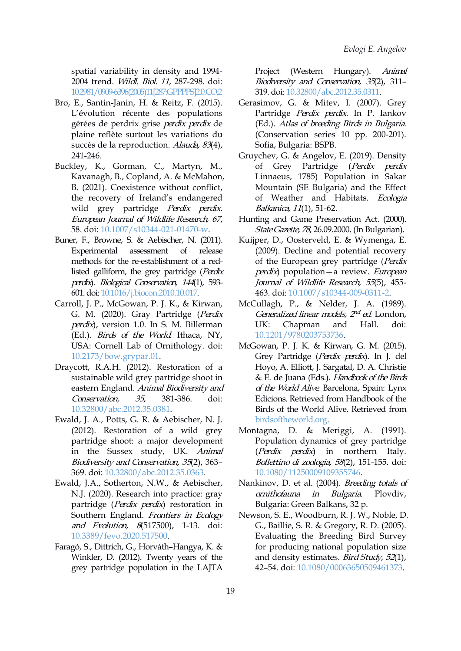spatial variability in density and 1994- 2004 trend. Wildl. Biol. 11, 287-298. doi: [10.2981/0909-6396\(2005\)11\[287:GPPPPS\]2.0.CO;2](http://dx.doi.org/10.2981/0909-6396(2005)11%5b287:GPPPPS%5d2.0.CO;2)

- Bro, E., Santin-Janin, H. & Reitz, F. (2015). L'évolution récente des populations gérées de perdrix grise perdix perdix de plaine reflète surtout les variations du succès de la reproduction. Alauda, 83(4), 241-246.
- Buckley, K., Gorman, C., Martyn, M., Kavanagh, B., Copland, A. & McMahon, B. (2021). Coexistence without conflict, the recovery of Ireland's endangered wild grey partridge Perdix perdix. European Journal of Wildlife Research, 67, 58. doi: [10.1007/s10344-021-01470-w.](https://doi.org/10.1007/s10344-021-01470-w)
- Buner, F., Browne, S. & Aebischer, N. (2011). methods for the re-establishment of a redlisted galliform, the grey partridge (Perdix perdix). Biological Conservation, <sup>144</sup>(1), 593- 601.doi: [10.1016/j.biocon.2010.10.017.](https://doi.org/10.1016/j.biocon.2010.10.017)
- Carroll, J. P., McGowan, P. J. K., & Kirwan, G. M. (2020). Gray Partridge (Perdix perdix), version 1.0. In S. M. Billerman (Ed.). Birds of the World. Ithaca, NY, USA: Cornell Lab of Ornithology. doi: [10.2173/bow.grypar.01](https://doi.org/10.2173/bow.grypar.01).
- Draycott, R.A.H. (2012). Restoration of a sustainable wild grey partridge shoot in eastern England. Animal Biodiversity and Conservation, 35, 381-386. doi: [10.32800/abc.2012.35.0381.](https://doi.org/10.32800/abc.2012.35.0381)
- Ewald, J. A., Potts, G. R. & Aebischer, N. J. (2012). Restoration of a wild grey partridge shoot: a major development in the Sussex study, UK. Animal Biodiversity and Conservation, <sup>35</sup>(2), 363– 369. doi: [10.32800/abc.2012.35.0363](http://dx.doi.org/10.32800/abc.2012.35.0363).
- Ewald, J.A., Sotherton, N.W., & Aebischer, N.J. (2020). Research into practice: gray ornithofauna in partridge (Perdix perdix) restoration in Bulgaria: Green Balkans, 32 p. Southern England. Frontiers in Ecology and Evolution, 8(517500), 1-13. doi: [10.3389/fevo.2020.517500](https://doi.org/10.3389/fevo.2020.517500).
- Faragó, S., Dittrich, G., Horváth–Hangya, K. & Winkler, D. (2012). Twenty years of the grey partridge population in the LAJTA

(Western Hungary). Animal Biodiversity and Conservation, <sup>35</sup>(2), 311– 319. doi: [10.32800/abc.2012.35.0311](http://dx.doi.org/10.32800/abc.2012.35.0311).

- Gerasimov, G. & Mitev, I. (2007). Grey Partridge Perdix perdix. In P. Iankov (Ed.). Atlas of breeding Birds in Bulgaria. (Conservation series 10 pp. 200-201). Sofia, Bulgaria: BSPB.
- Gruychev, G. & Angelov, E. (2019). Density of Grey Partridge (Perdix perdix Linnaeus, 1785) Population in Sakar Mountain (SE Bulgaria) and the Effect of [W](https://orcid.org/0000-0002-8522-3769)eather and Habitats. Ecologia Balkanica, 11(1), 51-62.
- Hunting and Game Preservation Act. (2000). StateGazette, 78, 26.09.2000. (In Bulgarian).
- Experimental assessment of release (2009). Decline and potential recovery Kuijper, D., Oosterveld, E. & Wymenga, E. of the European grey partridge (Perdix perdix) population—a review. European Journal of Wildlife Research, 55(5), 455-463. doi: [10.1007/s10344-009-0311-2.](https://doi.org/10.1007/s10344-009-0311-2)
	- McCullagh, P., & Nelder, J. A. (1989). Generalized linear models, 2<sup>nd</sup> ed. London, Chapman and Hall. doi: [10.1201/9780203753736.](https://doi.org/10.1201/9780203753736)
	- McGowan, P. J. K. & Kirwan, G. M. (2015). Grey Partridge (Perdix perdix). In J. del Hoyo, A. Elliott, J. Sargatal, D. A. Christie & E. de Juana (Eds.). Handbook of the Birds of the World Alive. Barcelona, Spain: Lynx Edicions. Retrieved from Handbook of the Birds of the World Alive. Retrieved from [birdsoftheworld.org](https://birdsoftheworld.org/hbw/species/grypar/1.0).
	- Montagna, D. & Meriggi, A. (1991). Population dynamics of grey partridge in northern Italy. Bollettino di zoologia, <sup>58</sup>(2), 151-155. doi: [10.1080/11250009109355746.](https://doi.org/10.1080/11250009109355746)
	- Nankinov, D. et al. (2004). *Breeding totals of* ornithofauna in Bulgaria. Plovdiv,
	- Newson, S. E., Woodburn, R. J. W., Noble, D. G., Baillie, S. R. & Gregory, R. D. (2005). Evaluating the Breeding Bird Survey for producing national population size and density estimates. Bird Study, <sup>52</sup>(1), 42–54. doi: [10.1080/00063650509461373.](https://doi.org/10.1080/00063650509461373)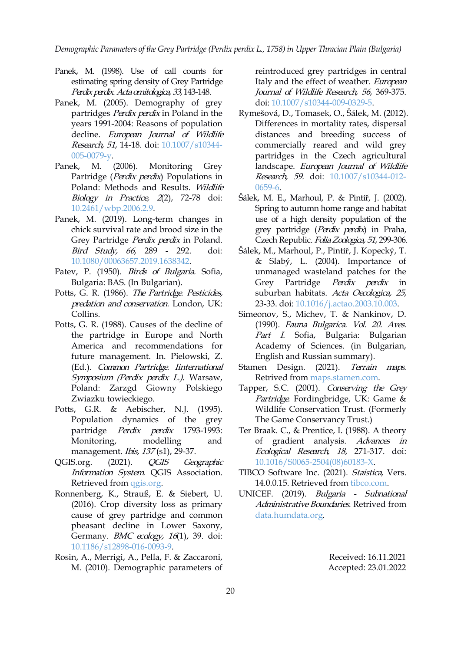*Demographic Parameters of the Grey Partridge(Perdix perdix L., 1758) in Upper Thracian Plain (Bulgaria)*

- Panek, M. (1998). Use of call counts for estimating spring density of Grey Partridge Perdix perdix. Acta ornitologica, 33, 143-148.
- Panek, M. (2005). Demography of grey partridges Perdix perdix in Poland in the years 1991-2004: Reasons of population decline. European Journal of Wildlife Research, 51, 14-18. doi: [10.1007/s10344-](https://doi.org/10.1007/s10344-005-0079-y) 005-0079-y.
- Panek, M. (2006). Monitoring Grey Partridge (Perdix perdix) Populations in Poland: Methods and Results. Wildlife Biology in Practice, <sup>2</sup>(2), 72-78 doi: [10.2461/wbp.2006.2.9.](https://doi.org/10.2461/wbp.2006.2.9)
- Panek, M. (2019). Long-term changes in chick survival rate and brood size in the Grey Partridge Perdix perdix in Poland. Bird Study, <sup>66</sup>, 289 - 292. doi: [10.1080/00063657.2019.1638342.](http://dx.doi.org/10.1080/00063657.2019.1638342)
- Patev, P. (1950). *Birds of Bulgaria*. Sofia, Bulgaria: BAS. (In Bulgarian).
- Potts, G. R. (1986). The Partridge. Pesticides, predation and conservation. London, UK: Collins.
- Potts, G. R. (1988). Causes of the decline of the partridge in Europe and North America and recommendations for future management. In. Pielowski, Z. (Ed.). Common Partridge. Iinternational Symposium (Perdix perdix L.). Warsaw, Poland: Zarzgd Giowny Polskiego Zwiazku towieckiego.
- Potts, G.R. & Aebischer, N.J. (1995). Population dynamics of the grey partridge Perdix perdix 1793-1993: management. *Ibis, 137* (s1), 29-37.
- OGIS.org. (2021). OGIS Geographic Information System. QGIS Association. Retrieved from [qgis.org.](http://www.qgis.org)
- Ronnenberg, K., Strauß, E. & Siebert, U. (2016). Crop diversity loss as primary cause of grey partridge and common pheasant decline in Lower Saxony, Germany. BMC ecology, 16(1), 39. doi: [10.1186/s12898-016-0093-9.](https://doi.org/10.1186/s12898-016-0093-9)
- Rosin, A., Merrigi, A., Pella, F. & Zaccaroni, M. (2010). Demographic parameters of

reintroduced grey partridges in central Italy and the effect of weather. European Journal of Wildlife Research, 56, 369-375. doi: [10.1007/s10344-009-0329-5.](https://doi.org/10.1007/s10344-009-0329-5)

- Rymešová, D., Tomasek, O., Šálek, M. (2012). Differences in mortality rates, dispersal distances and breeding success of commercially reared and wild grey partridges in the Czech agricultural landscape. European Journal of Wildlife Research, 59. doi: [10.1007/s10344-012-](https://doi.org/10.1007/s10344-012-0659-6) 0659-6.
- Šálek, [M.](https://orcid.org/0000-0002-8522-3769) E., Marhoul, P. & Pintíř, J. (2002). Spring to autumn home range and habitat use of a high density population of the grey partridge (Perdix perdix) in Praha, Czech Republic. Folia Zoologica, 51, 299-306.
- Šálek, M., Marhoul, P., Pintíř, J. Kopecký, T. & Slabý, L. (2004). Importance of unmanaged wasteland patches for the Grey Partridge Perdix perdix in suburban habitats. Acta Oecologica, <sup>25</sup>, 23-33. doi: [10.1016/j.actao.2003.10.003](https://doi.org/10.1016/j.actao.2003.10.003).
- Simeonov, S., Michev, T. & Nankinov, D. (1990). Fauna Bulgarica. Vol. 20. Aves. Part I. Sofia, Bulgaria: Bulgarian Academy of Sciences. (in Bulgarian, English and Russian summary).
- Stamen Design. (2021). Terrain maps. Retrived from [maps.stamen.com](http://maps.stamen.com/).
- Tapper, S.C. (2001). Conserving the Grey Partridge. Fordingbridge, UK: Game & Wildlife Conservation Trust. (Formerly The Game Conservancy Trust.)
- Monitoring, modelling and of gradient analysis. Advances in Ter Braak. C., & Prentice, I. (1988). A theory Ecological Research, <sup>18</sup>, 271-317. doi: [10.1016/S0065-2504\(08\)60183-X](https://doi.org/10.1016/S0065-2504(08)60183-X).
	- TIBCO Software Inc. (2021). Staistica, Vers. 14.0.0.15. Retrieved from [tibco.com.](https://www.tibco.com/resources/product-download/tibco-statistica-trial-download-for-windows)
	- UNICEF. (2019). Bulgaria Subnational Administrative Boundaries. Retrived from [data.humdata.org.](https://data.humdata.org/dataset/bulgaria-administrative-level-0-2-boundaries?)

Received: 16.11.2021 Accepted: 23.01.2022